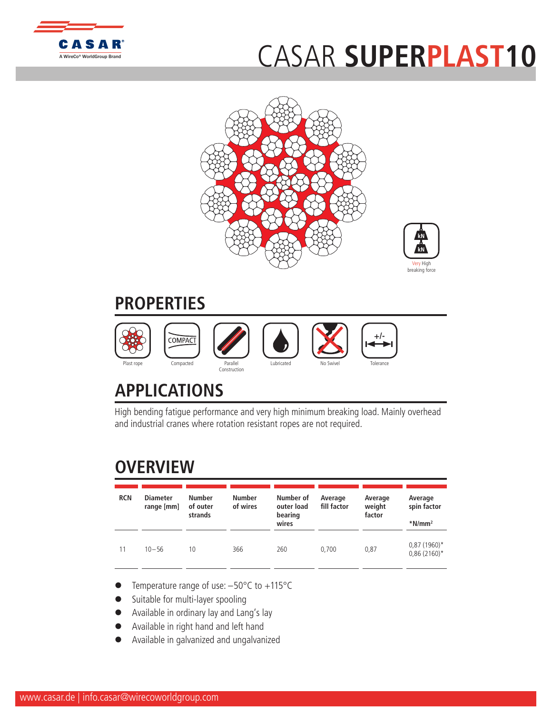

## CASAR **[SUPERP](http://www.WireCoWorldGroup.com)LAST10**





## **PROPERTIES**



## **APPLICATIONS**

High bending fatigue performance and very high minimum breaking load. Mainly overhead and industrial cranes where rotation resistant ropes are not required.

## **OVERVIEW**

| <b>RCN</b> | <b>Diameter</b><br>range [mm] | <b>Number</b><br>of outer<br>strands | <b>Number</b><br>of wires | Number of<br>outer load<br>bearing<br>wires | Average<br>fill factor | Average<br>weight<br>factor | Average<br>spin factor<br>$*$ N/mm <sup>2</sup> |
|------------|-------------------------------|--------------------------------------|---------------------------|---------------------------------------------|------------------------|-----------------------------|-------------------------------------------------|
| 11         | $10 - 56$                     | 10                                   | 366                       | 260                                         | 0.700                  | 0,87                        | 0,87 (1960)*<br>$0,86(2160)^*$                  |

- Temperature range of use:  $-50^{\circ}$ C to  $+115^{\circ}$ C
- Suitable for multi-layer spooling
- Available in ordinary lay and Lang's lay
- l Available in right hand and left hand
- l Available in galvanized and ungalvanized